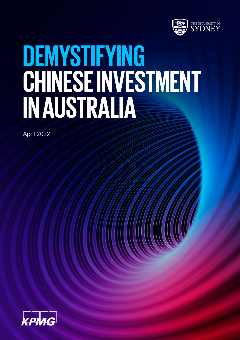

# **DEMYSTIFYING CHINESE INVESTMENT IN AUSTRALIA**

April 2022

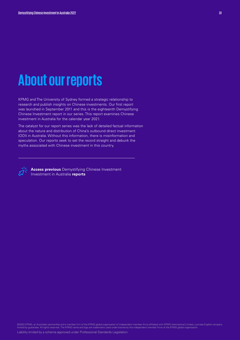# **About our reports**

KPMG and The University of Sydney formed a strategic relationship to research and publish insights on Chinese investments. Our first report was launched in September 2011 and this is the eighteenth Demystifying Chinese Investment report in our series. This report examines Chinese investment in Australia for the calendar year 2021.

The catalyst for our report series was the lack of detailed factual information about the nature and distribution of China's outbound direct investment (ODI) in Australia. Without this information, there is misinformation and speculation. Our reports seek to set the record straight and debunk the myths associated with Chinese investment in this country.



**Access previous** Demystifying Chinese Investment Investment in Australia **reports**

©2022 KPMG, an Australian partnership and a member firm of the KPMG global organisation of independent member firms affiliated with KPMG International Limited, a private English company<br>limited by guarantee. All rights res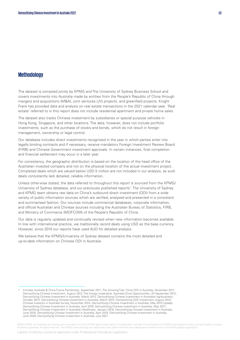#### **Methodology**

The dataset is compiled jointly by KPMG and The University of Sydney Business School and covers investments into Australia made by entities from the People's Republic of China through mergers and acquisitions (M&A), joint ventures (JV) projects, and greenfield projects. Knight Frank has provided data and analysis on real estate transactions in the 2021 calendar year. 'Real estate' referred to in this report does not include residential apartment and private home sales.

The dataset also tracks Chinese investment by subsidiaries or special purpose vehicles in Hong Kong, Singapore, and other locations. The data, however, does not include portfolio investments, such as the purchase of stocks and bonds, which do not result in foreign management, ownership or legal control.

Our database includes direct investments recognised in the year in which parties enter into legally binding contracts and if necessary, receive mandatory Foreign Investment Review Board (FIRB) and Chinese Government investment approvals. In certain instances, final completion and financial settlement may occur in a later year.

For consistency, the geographic distribution is based on the location of the head office of the Australian invested company and not on the physical location of the actual investment project. Completed deals which are valued below USD 5 million are not included in our analysis, as such deals consistently lack detailed, reliable information.

Unless otherwise stated, the data referred to throughout this report is sourced from the KPMG/ University of Sydney database, and our previously published reports<sup>1</sup>. The University of Sydney and KPMG team obtains raw data on China's outbound direct investment (ODI) from a wide variety of public information sources which are verified, analysed and presented in a consistent and summarised fashion. Our sources include commercial databases, corporate information, and official Australian and Chinese sources including the Australian Bureau of Statistics, FIRB, and Ministry of Commerce (MOFCOM) of the People's Republic of China.

Our data is regularly updated and continually revised when new information becomes available. In line with international practice, we traditionally record deals using USD as the base currency. However, since 2015 our reports have used AUD for detailed analysis.

We believe that the KPMG/University of Sydney dataset contains the most detailed and up-to-date information on Chinese ODI in Australia.

©2022 KPMG, an Australian partnership and a member firm of the KPMG global organisation of independent member firms affiliated with KPMG International Limited, a private English company<br>limited by guarantee. All rights res

<sup>1</sup> Includes Australia & China Future Partnership, September 2011; The Growing Tide: China ODI in Australia, November 2011; Demystifying Chinese Investment, August 2012; The Energy Imperative: Australia-China Opportunities, 25 September 2012; Demystifying Chinese Investment in Australia, March 2013; Demystifying Chinese Investment in Australian Agribusiness, October 2013; Demystifying Chinese Investment in Australia, March 2014; Demystifying SOE Investment, August 2014; Chinese Investors in Australia Survey, November 2014; Demystifying Chinese Investment in Australia, May 2015 Update; Demystifying Chinese Investment in Australia, April 2016; Demystifying Chinese Investment in Australia, May 2017; Demystifying Chinese Investment in Australian Healthcare, January 2018; Demystifying Chinese Investment in Australia, June 2018; Demystifying Chinese Investment in Australia, April 2019; Demystifying Chinese Investment in Australia, June 2020; Demystifying Chinese Investment in Australia, July 2021.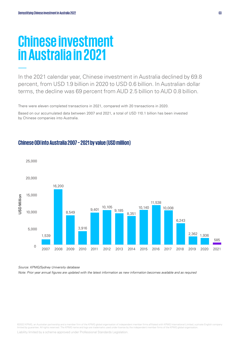# **Chinese investment in Australia in 2021**

In the 2021 calendar year, Chinese investment in Australia declined by 69.8 percent, from USD 1.9 billion in 2020 to USD 0.6 billion. In Australian dollar terms, the decline was 69 percent from AUD 2.5 billion to AUD 0.8 billion.

There were eleven completed transactions in 2021, compared with 20 transactions in 2020.

Based on our accumulated data between 2007 and 2021, a total of USD 110.1 billion has been invested by Chinese companies into Australia.



#### **Chinese ODI into Australia 2007 – 2021 by value (USD million)**

*Source: KPMG/Sydney University database*

*Note: Prior year annual figures are updated with the latest information as new information becomes available and as required* 

©2022 KPMG, an Australian partnership and a member firm of the KPMG global organisation of independent member firms affiliated with KPMG International Limited, a private English company<br>limited by guarantee. All rights res

Liability limited by a scheme approved under Professional Standards Legislation.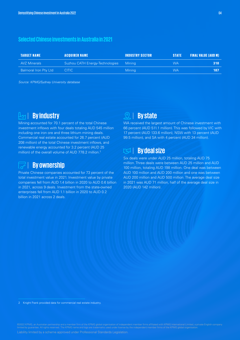#### **Selected Chinese investments in Australia in 2021**

| <b>TARGET NAME</b>           | <b>ACOUIRER NAME</b>                   | <b>INDUSTRY SECTOR</b> | <b>STATE</b> | <b>FINAL VALUE (AUD M)</b> |
|------------------------------|----------------------------------------|------------------------|--------------|----------------------------|
| AVZ Minerals                 | Suzhou CATH Energy-Technologies Mining |                        | WA.          | 318                        |
| <b>Balmoral Iron Pty Ltd</b> | CITIC -                                | <b>Mining</b>          | <b>WA</b>    | 187                        |

*Source: KPMG/Sydney University database*

### | **By industry**

Mining accounted for 70.1 percent of the total Chinese investment inflows with four deals totaling AUD 545 million including one iron ore and three lithium mining deals. Commercial real estate accounted for 26.7 percent (AUD 208 million) of the total Chinese investment inflows, and renewable energy accounted for 3.2 percent (AUD 25 million) of the overall volume of AUD 778.2 million.<sup>2</sup>

### | **By ownership**

Private Chinese companies accounted for 73 percent of the total investment value in 2021. Investment value by private companies fell from AUD 1.4 billion in 2020 to AUD 0.6 billion in 2021, across 9 deals. Investment from the state-owned enterprises fell from AUD 1.1 billion in 2020 to AUD 0.2 billion in 2021 across 2 deals.

#### | **Bystate**   $\Theta$

WA received the largest amount of Chinese investment with 66 percent (AUD 511.1 million). This was followed by VIC with 17 percent (AUD 133.6 million), NSW with 13 percent (AUD 99.5 million), and SA with 4 percent (AUD 34 million).

#### | **Bydeal size IZJ**

Six deals were under AUD 25 million, totaling AUD 75 million. Three deals were between AUD 25 million and AUD 100 million, totaling AUD 198 million. One deal was between AUD 100 million and AUD 200 million and one was between AUD 200 million and AUD 500 million. The average deal size in 2021 was AUD 71 million, half of the average deal size in 2020 (AUD 142 million).

Liability limited by a scheme approved under Professional Standards Legislation.

<sup>2</sup> Knight Frank provided data for commercial real estate industry.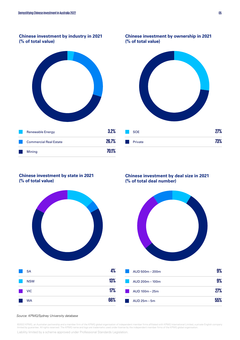#### **Chinese investment by industry in 2021 (% of total value)**



**Chinese investment by ownership in 2021 (% of total value)**



#### **Chinese investment by state in 2021 (% of total value)**



**Chinese investment by deal size in 2021 (% of total deal number)**



AUD 25m – 5m **55%**

#### *Source: KPMG/Sydney University database*

©2022 KPMG, an Australian partnership and a member firm of the KPMG global organisation of independent member firms affiliated with KPMG International Limited, a private English company<br>limited by guarantee. All rights res Liability limited by a scheme approved under Professional Standards Legislation.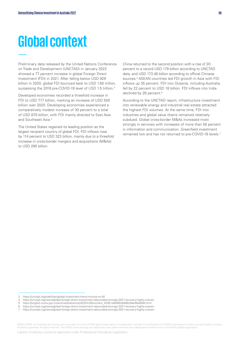# **Global context**

Preliminary data released by the United Nations Conference on Trade and Development (UNCTAD) in January 2022 showed a 77 percent increase in global Foreign Direct Investment (FDI) in 2021. After falling below USD 929 billion in 2020, global FDI bounced back to USD 1.65 trillion, surpassing the 2019 pre-COVID-19 level of USD 1.5 trillion.<sup>3</sup>

Developed economies recorded a threefold increase in FDI to USD 777 billion, marking an increase of USD 500 billion over 2020. Developing economies experienced a comparatively modest increase of 30 percent to a total of USD 870 billion, with FDI mainly directed to East Asia and Southeast Asia.4

The United States regained its leading position as the largest recipient country of global FDI. FDI inflows rose by 114 percent to USD 323 billion, mainly due to a threefold increase in cross-border mergers and acquisitions (M&As) to USD 285 billion.

China returned to the second position with a rise of 20 percent to a record USD 179 billion according to UNCTAD data, and USD 173.48 billion according to official Chinese sources.<sup>5</sup> ASEAN countries led FDI growth in Asia with FDI inflows up 35 percent. FDI into Oceania, including Australia, fell by 22 percent to USD 18 billion. FDI inflows into India declined by 26 percent.<sup>6</sup>

According to the UNCTAD report, infrastructure investment into renewable energy and industrial real estate attracted the highest FDI volumes. At the same time, FDI into industries and global value chains remained relatively subdued. Global cross-border M&As increased most strongly in services with increases of more than 50 percent in information and communication. Greenfield investment remained low and has not returned to pre-COVID-19 levels.7

Liability limited by a scheme approved under Professional Standards Legislation.

<sup>3</sup> https://unctad.org/webflyer/global-investment-trend-monitor-no-40

https://unctad.org/news/global-foreign-direct-investment-rebounded-strongly-2021-recovery-highly-uneven

<sup>5</sup> https://english.www.gov.cn/archive/statistics/202201/20/content\_WS61e9408fc6d09c94e48a4006.html

<sup>6</sup> https://unctad.org/news/global-foreign-direct-investment-rebounded-strongly-2021-recovery-highly-uneven

https://unctad.org/news/global-foreign-direct-investment-rebounded-strongly-2021-recovery-highly-uneven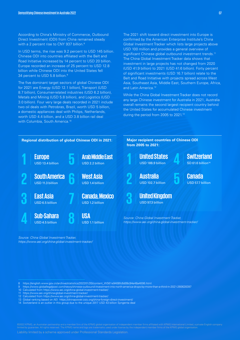According to China's Ministry of Commerce, Outbound Direct Investment (ODI) from China remained steady with a 2 percent rise to CNY 937 billion.<sup>8</sup>

In USD terms, the rise was 9.2 percent to USD 145 billion. Chinese ODI into countries affiliated with the Belt and Road Initiative increased by 14 percent to USD 20 billion. Europe recorded an increase of 25 percent to USD 12.8 billion while Chinese ODI into the United States fell 34 percent to USD 5.8 billion.<sup>9</sup>

The five dominant target sectors of global Chinese ODI for 2021 are Energy (USD 12.1 billion), Transport (USD 8.7 billion), Consumer-related industries (USD 6.2 billion), Metals and Mining (USD 5.8 billion), and Logistics (USD 3.0 billion). Four very large deals recorded in 2021 include two oil deals with Petrobras, Brazil, worth USD 5 billion, a domestic appliances deal with Philips, Netherlands, worth USD 4.4 billion, and a USD 3.8 billion rail deal with Columbia, South America.<sup>10</sup>

The 2021 shift toward direct investment into Europe is confirmed by the American Enterprise Institute's China Global Investment Tracker which lists large projects above USD 100 million and provides a general overview of significant Chinese global outbound investment trends.<sup>11</sup> The China Global Investment Tracker data shows that investment in large projects has not changed from 2020 (USD 41.9 billion) to 2021 (USD 41.6 billion). Forty percent of significant investments (USD 16.7 billion) relate to the Belt and Road Initiative with projects spread across West Asia, Southeast Asia, Middle East, Southern Europe, Africa, and Latin America<sup>12</sup>

While the China Global Investment Tracker does not record any large Chinese investment for Australia in 2021, Australia overall remains the second largest recipient country behind the United States for accumulated Chinese investment during the period from 2005 to 2021.13



*Source: China Global Investment Tracker, https://www.aei.org/china-global-investment-tracker/*

8 https://english.www.gov.cn/archive/statistics/202201/20/content\_WS61e9408fc6d09c94e48a4006.html

- 9 https://www.globallegalpost.com/news/chinese-outbound-investment-into-north-america-drops-by-more-than-a-third-in-2021-260628397
- 10 Calculated from https://www.aei.org/china-global-investment-tracker/
- 11 https://www.aei.org/china-global-investment-tracker/
- 12 Calculated from https://www.aei.org/china-global-investment-tracker/
- 13 Global ranking based on AEI https://chinapower.csis.org/china-foreign-direct-investment/ 14 Switzerland is an outlier in this group due to the unique 2017 USD 43 billion Syngenta deal

©2022 KPMG, an Australian partnership and a member firm of the KPMG global organisation of independent member firms affiliated with KPMG International Limited, a private English company<br>limited by guarantee. All rights res